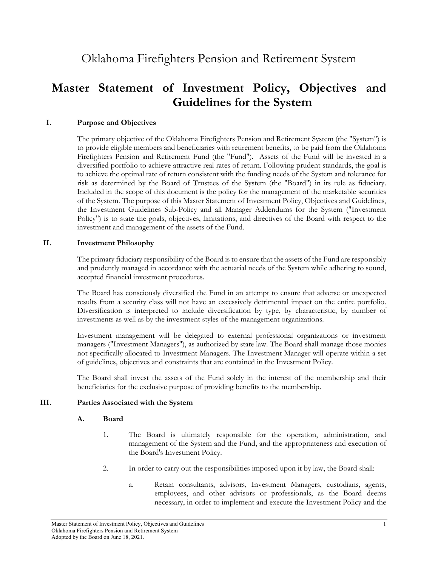Oklahoma Firefighters Pension and Retirement System

# **Master Statement of Investment Policy, Objectives and Guidelines for the System**

#### **I. Purpose and Objectives**

The primary objective of the Oklahoma Firefighters Pension and Retirement System (the "System") is to provide eligible members and beneficiaries with retirement benefits, to be paid from the Oklahoma Firefighters Pension and Retirement Fund (the "Fund"). Assets of the Fund will be invested in a diversified portfolio to achieve attractive real rates of return. Following prudent standards, the goal is to achieve the optimal rate of return consistent with the funding needs of the System and tolerance for risk as determined by the Board of Trustees of the System (the "Board") in its role as fiduciary. Included in the scope of this document is the policy for the management of the marketable securities of the System. The purpose of this Master Statement of Investment Policy, Objectives and Guidelines, the Investment Guidelines Sub-Policy and all Manager Addendums for the System ("Investment Policy") is to state the goals, objectives, limitations, and directives of the Board with respect to the investment and management of the assets of the Fund.

#### **II. Investment Philosophy**

The primary fiduciary responsibility of the Board is to ensure that the assets of the Fund are responsibly and prudently managed in accordance with the actuarial needs of the System while adhering to sound, accepted financial investment procedures.

The Board has consciously diversified the Fund in an attempt to ensure that adverse or unexpected results from a security class will not have an excessively detrimental impact on the entire portfolio. Diversification is interpreted to include diversification by type, by characteristic, by number of investments as well as by the investment styles of the management organizations.

Investment management will be delegated to external professional organizations or investment managers ("Investment Managers"), as authorized by state law. The Board shall manage those monies not specifically allocated to Investment Managers. The Investment Manager will operate within a set of guidelines, objectives and constraints that are contained in the Investment Policy.

The Board shall invest the assets of the Fund solely in the interest of the membership and their beneficiaries for the exclusive purpose of providing benefits to the membership.

#### **III. Parties Associated with the System**

#### **A. Board**

- 1. The Board is ultimately responsible for the operation, administration, and management of the System and the Fund, and the appropriateness and execution of the Board's Investment Policy.
- 2. In order to carry out the responsibilities imposed upon it by law, the Board shall:
	- a. Retain consultants, advisors, Investment Managers, custodians, agents, employees, and other advisors or professionals, as the Board deems necessary, in order to implement and execute the Investment Policy and the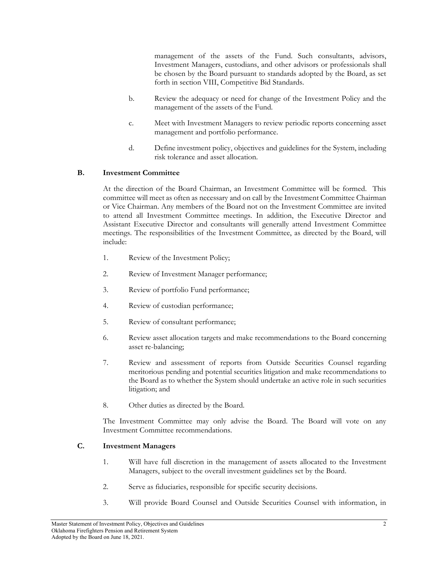management of the assets of the Fund. Such consultants, advisors, Investment Managers, custodians, and other advisors or professionals shall be chosen by the Board pursuant to standards adopted by the Board, as set forth in section VIII, Competitive Bid Standards.

- b. Review the adequacy or need for change of the Investment Policy and the management of the assets of the Fund.
- c. Meet with Investment Managers to review periodic reports concerning asset management and portfolio performance.
- d. Define investment policy, objectives and guidelines for the System, including risk tolerance and asset allocation.

## **B. Investment Committee**

At the direction of the Board Chairman, an Investment Committee will be formed. This committee will meet as often as necessary and on call by the Investment Committee Chairman or Vice Chairman. Any members of the Board not on the Investment Committee are invited to attend all Investment Committee meetings. In addition, the Executive Director and Assistant Executive Director and consultants will generally attend Investment Committee meetings. The responsibilities of the Investment Committee, as directed by the Board, will include:

- 1. Review of the Investment Policy;
- 2. Review of Investment Manager performance;
- 3. Review of portfolio Fund performance;
- 4. Review of custodian performance;
- 5. Review of consultant performance;
- 6. Review asset allocation targets and make recommendations to the Board concerning asset re-balancing;
- 7. Review and assessment of reports from Outside Securities Counsel regarding meritorious pending and potential securities litigation and make recommendations to the Board as to whether the System should undertake an active role in such securities litigation; and
- 8. Other duties as directed by the Board.

The Investment Committee may only advise the Board. The Board will vote on any Investment Committee recommendations.

#### **C. Investment Managers**

- 1. Will have full discretion in the management of assets allocated to the Investment Managers, subject to the overall investment guidelines set by the Board.
- 2. Serve as fiduciaries, responsible for specific security decisions.
- 3. Will provide Board Counsel and Outside Securities Counsel with information, in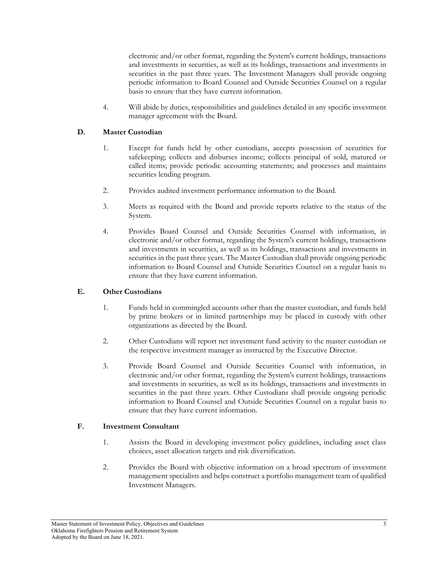electronic and/or other format, regarding the System's current holdings, transactions and investments in securities, as well as its holdings, transactions and investments in securities in the past three years. The Investment Managers shall provide ongoing periodic information to Board Counsel and Outside Securities Counsel on a regular basis to ensure that they have current information.

4. Will abide by duties, responsibilities and guidelines detailed in any specific investment manager agreement with the Board.

## **D. Master Custodian**

- 1. Except for funds held by other custodians, accepts possession of securities for safekeeping; collects and disburses income; collects principal of sold, matured or called items; provide periodic accounting statements; and processes and maintains securities lending program.
- 2. Provides audited investment performance information to the Board.
- 3. Meets as required with the Board and provide reports relative to the status of the System.
- 4. Provides Board Counsel and Outside Securities Counsel with information, in electronic and/or other format, regarding the System's current holdings, transactions and investments in securities, as well as its holdings, transactions and investments in securities in the past three years. The Master Custodian shall provide ongoing periodic information to Board Counsel and Outside Securities Counsel on a regular basis to ensure that they have current information.

#### **E. Other Custodians**

- 1. Funds held in commingled accounts other than the master custodian, and funds held by prime brokers or in limited partnerships may be placed in custody with other organizations as directed by the Board.
- 2. Other Custodians will report net investment fund activity to the master custodian or the respective investment manager as instructed by the Executive Director.
- 3. Provide Board Counsel and Outside Securities Counsel with information, in electronic and/or other format, regarding the System's current holdings, transactions and investments in securities, as well as its holdings, transactions and investments in securities in the past three years. Other Custodians shall provide ongoing periodic information to Board Counsel and Outside Securities Counsel on a regular basis to ensure that they have current information.

#### **F. Investment Consultant**

- 1. Assists the Board in developing investment policy guidelines, including asset class choices, asset allocation targets and risk diversification.
- 2. Provides the Board with objective information on a broad spectrum of investment management specialists and helps construct a portfolio management team of qualified Investment Managers.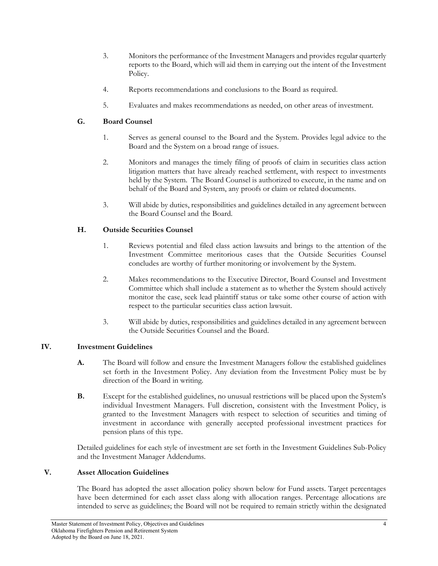- 3. Monitors the performance of the Investment Managers and provides regular quarterly reports to the Board, which will aid them in carrying out the intent of the Investment Policy.
- 4. Reports recommendations and conclusions to the Board as required.
- 5. Evaluates and makes recommendations as needed, on other areas of investment.

# **G. Board Counsel**

- 1. Serves as general counsel to the Board and the System. Provides legal advice to the Board and the System on a broad range of issues.
- 2. Monitors and manages the timely filing of proofs of claim in securities class action litigation matters that have already reached settlement, with respect to investments held by the System. The Board Counsel is authorized to execute, in the name and on behalf of the Board and System, any proofs or claim or related documents.
- 3. Will abide by duties, responsibilities and guidelines detailed in any agreement between the Board Counsel and the Board.

# **H. Outside Securities Counsel**

- 1. Reviews potential and filed class action lawsuits and brings to the attention of the Investment Committee meritorious cases that the Outside Securities Counsel concludes are worthy of further monitoring or involvement by the System.
- 2. Makes recommendations to the Executive Director, Board Counsel and Investment Committee which shall include a statement as to whether the System should actively monitor the case, seek lead plaintiff status or take some other course of action with respect to the particular securities class action lawsuit.
- 3. Will abide by duties, responsibilities and guidelines detailed in any agreement between the Outside Securities Counsel and the Board.

# **IV. Investment Guidelines**

- **A.** The Board will follow and ensure the Investment Managers follow the established guidelines set forth in the Investment Policy. Any deviation from the Investment Policy must be by direction of the Board in writing.
- **B.** Except for the established guidelines, no unusual restrictions will be placed upon the System's individual Investment Managers. Full discretion, consistent with the Investment Policy, is granted to the Investment Managers with respect to selection of securities and timing of investment in accordance with generally accepted professional investment practices for pension plans of this type.

Detailed guidelines for each style of investment are set forth in the Investment Guidelines Sub-Policy and the Investment Manager Addendums.

# **V. Asset Allocation Guidelines**

The Board has adopted the asset allocation policy shown below for Fund assets. Target percentages have been determined for each asset class along with allocation ranges. Percentage allocations are intended to serve as guidelines; the Board will not be required to remain strictly within the designated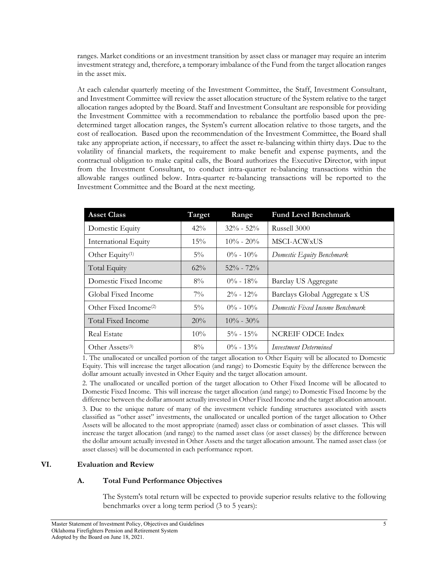ranges. Market conditions or an investment transition by asset class or manager may require an interim investment strategy and, therefore, a temporary imbalance of the Fund from the target allocation ranges in the asset mix.

At each calendar quarterly meeting of the Investment Committee, the Staff, Investment Consultant, and Investment Committee will review the asset allocation structure of the System relative to the target allocation ranges adopted by the Board. Staff and Investment Consultant are responsible for providing the Investment Committee with a recommendation to rebalance the portfolio based upon the predetermined target allocation ranges, the System's current allocation relative to those targets, and the cost of reallocation. Based upon the recommendation of the Investment Committee, the Board shall take any appropriate action, if necessary, to affect the asset re-balancing within thirty days. Due to the volatility of financial markets, the requirement to make benefit and expense payments, and the contractual obligation to make capital calls, the Board authorizes the Executive Director, with input from the Investment Consultant, to conduct intra-quarter re-balancing transactions within the allowable ranges outlined below. Intra-quarter re-balancing transactions will be reported to the Investment Committee and the Board at the next meeting.

| <b>Asset Class</b>                | Target | Range         | <b>Fund Level Benchmark</b>      |
|-----------------------------------|--------|---------------|----------------------------------|
| Domestic Equity                   | $42\%$ | $32\% - 52\%$ | Russell 3000                     |
| <b>International Equity</b>       | $15\%$ | $10\% - 20\%$ | MSCI-ACWxUS                      |
| Other Equity <sup>(1)</sup>       | $5\%$  | $0\% - 10\%$  | Domestic Equity Benchmark        |
| Total Equity                      | $62\%$ | $52\% - 72\%$ |                                  |
| Domestic Fixed Income             | $8\%$  | $0\% - 18\%$  | Barclay US Aggregate             |
| Global Fixed Income               | $7\%$  | $2\% - 12\%$  | Barclays Global Aggregate x US   |
| Other Fixed Income <sup>(2)</sup> | $5\%$  | $0\% - 10\%$  | Domestic Fixed Income Benchmark. |
| Total Fixed Income                | 20%    | $10\% - 30\%$ |                                  |
| Real Estate                       | $10\%$ | $5\% - 15\%$  | <b>NCREIF ODCE Index</b>         |
| Other Assets <sup>(3)</sup>       | $8\%$  | $0\% - 13\%$  | Investment Determined            |

1. The unallocated or uncalled portion of the target allocation to Other Equity will be allocated to Domestic Equity. This will increase the target allocation (and range) to Domestic Equity by the difference between the dollar amount actually invested in Other Equity and the target allocation amount.

2. The unallocated or uncalled portion of the target allocation to Other Fixed Income will be allocated to Domestic Fixed Income. This will increase the target allocation (and range) to Domestic Fixed Income by the difference between the dollar amount actually invested in Other Fixed Income and the target allocation amount.

3. Due to the unique nature of many of the investment vehicle funding structures associated with assets classified as "other asset" investments, the unallocated or uncalled portion of the target allocation to Other Assets will be allocated to the most appropriate (named) asset class or combination of asset classes. This will increase the target allocation (and range) to the named asset class (or asset classes) by the difference between the dollar amount actually invested in Other Assets and the target allocation amount. The named asset class (or asset classes) will be documented in each performance report.

#### **VI. Evaluation and Review**

# **A. Total Fund Performance Objectives**

The System's total return will be expected to provide superior results relative to the following benchmarks over a long term period (3 to 5 years):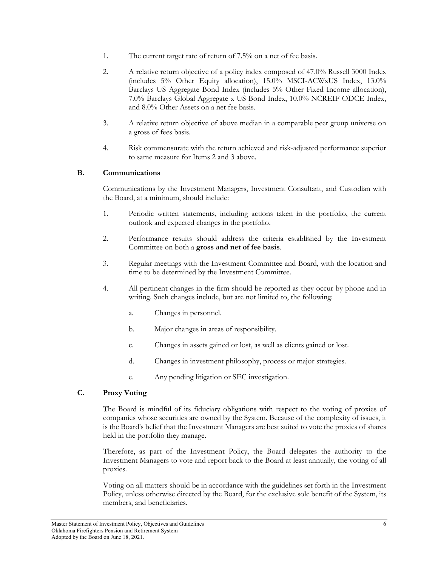- 1. The current target rate of return of 7.5% on a net of fee basis.
- 2. A relative return objective of a policy index composed of 47.0% Russell 3000 Index (includes 5% Other Equity allocation), 15.0% MSCI-ACWxUS Index, 13.0% Barclays US Aggregate Bond Index (includes 5% Other Fixed Income allocation), 7.0% Barclays Global Aggregate x US Bond Index, 10.0% NCREIF ODCE Index, and 8.0% Other Assets on a net fee basis.
- 3. A relative return objective of above median in a comparable peer group universe on a gross of fees basis.
- 4. Risk commensurate with the return achieved and risk-adjusted performance superior to same measure for Items 2 and 3 above.

## **B. Communications**

Communications by the Investment Managers, Investment Consultant, and Custodian with the Board, at a minimum, should include:

- 1. Periodic written statements, including actions taken in the portfolio, the current outlook and expected changes in the portfolio.
- 2. Performance results should address the criteria established by the Investment Committee on both a **gross and net of fee basis**.
- 3. Regular meetings with the Investment Committee and Board, with the location and time to be determined by the Investment Committee.
- 4. All pertinent changes in the firm should be reported as they occur by phone and in writing. Such changes include, but are not limited to, the following:
	- a. Changes in personnel.
	- b. Major changes in areas of responsibility.
	- c. Changes in assets gained or lost, as well as clients gained or lost.
	- d. Changes in investment philosophy, process or major strategies.
	- e. Any pending litigation or SEC investigation.

# **C. Proxy Voting**

The Board is mindful of its fiduciary obligations with respect to the voting of proxies of companies whose securities are owned by the System. Because of the complexity of issues, it is the Board's belief that the Investment Managers are best suited to vote the proxies of shares held in the portfolio they manage.

Therefore, as part of the Investment Policy, the Board delegates the authority to the Investment Managers to vote and report back to the Board at least annually, the voting of all proxies.

Voting on all matters should be in accordance with the guidelines set forth in the Investment Policy, unless otherwise directed by the Board, for the exclusive sole benefit of the System, its members, and beneficiaries.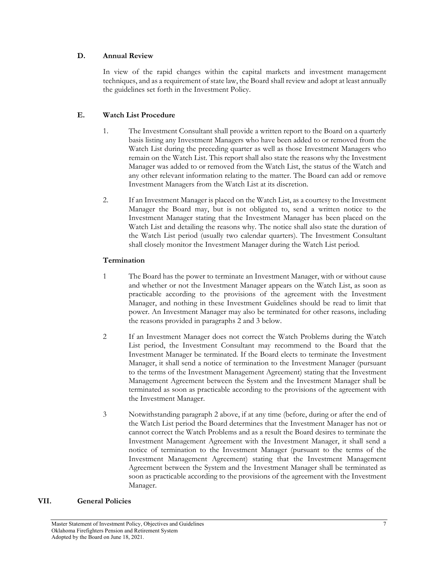## **D. Annual Review**

In view of the rapid changes within the capital markets and investment management techniques, and as a requirement of state law, the Board shall review and adopt at least annually the guidelines set forth in the Investment Policy.

# **E. Watch List Procedure**

- 1. The Investment Consultant shall provide a written report to the Board on a quarterly basis listing any Investment Managers who have been added to or removed from the Watch List during the preceding quarter as well as those Investment Managers who remain on the Watch List. This report shall also state the reasons why the Investment Manager was added to or removed from the Watch List, the status of the Watch and any other relevant information relating to the matter. The Board can add or remove Investment Managers from the Watch List at its discretion.
- 2. If an Investment Manager is placed on the Watch List, as a courtesy to the Investment Manager the Board may, but is not obligated to, send a written notice to the Investment Manager stating that the Investment Manager has been placed on the Watch List and detailing the reasons why. The notice shall also state the duration of the Watch List period (usually two calendar quarters). The Investment Consultant shall closely monitor the Investment Manager during the Watch List period.

# **Termination**

- 1 The Board has the power to terminate an Investment Manager, with or without cause and whether or not the Investment Manager appears on the Watch List, as soon as practicable according to the provisions of the agreement with the Investment Manager, and nothing in these Investment Guidelines should be read to limit that power. An Investment Manager may also be terminated for other reasons, including the reasons provided in paragraphs 2 and 3 below.
- 2 If an Investment Manager does not correct the Watch Problems during the Watch List period, the Investment Consultant may recommend to the Board that the Investment Manager be terminated. If the Board elects to terminate the Investment Manager, it shall send a notice of termination to the Investment Manager (pursuant to the terms of the Investment Management Agreement) stating that the Investment Management Agreement between the System and the Investment Manager shall be terminated as soon as practicable according to the provisions of the agreement with the Investment Manager.
- 3 Notwithstanding paragraph 2 above, if at any time (before, during or after the end of the Watch List period the Board determines that the Investment Manager has not or cannot correct the Watch Problems and as a result the Board desires to terminate the Investment Management Agreement with the Investment Manager, it shall send a notice of termination to the Investment Manager (pursuant to the terms of the Investment Management Agreement) stating that the Investment Management Agreement between the System and the Investment Manager shall be terminated as soon as practicable according to the provisions of the agreement with the Investment Manager.

# **VII. General Policies**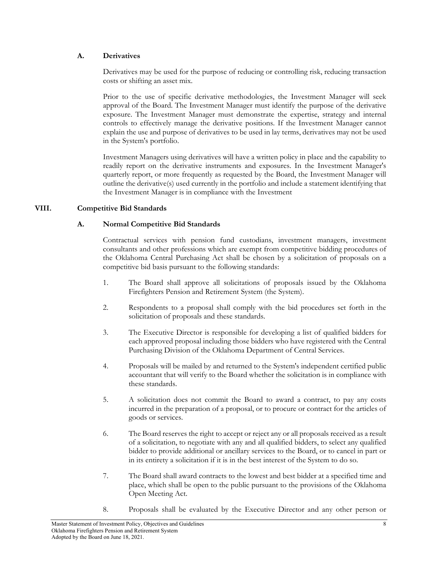## **A. Derivatives**

Derivatives may be used for the purpose of reducing or controlling risk, reducing transaction costs or shifting an asset mix.

Prior to the use of specific derivative methodologies, the Investment Manager will seek approval of the Board. The Investment Manager must identify the purpose of the derivative exposure. The Investment Manager must demonstrate the expertise, strategy and internal controls to effectively manage the derivative positions. If the Investment Manager cannot explain the use and purpose of derivatives to be used in lay terms, derivatives may not be used in the System's portfolio.

Investment Managers using derivatives will have a written policy in place and the capability to readily report on the derivative instruments and exposures. In the Investment Manager's quarterly report, or more frequently as requested by the Board, the Investment Manager will outline the derivative(s) used currently in the portfolio and include a statement identifying that the Investment Manager is in compliance with the Investment

# **VIII. Competitive Bid Standards**

# **A. Normal Competitive Bid Standards**

Contractual services with pension fund custodians, investment managers, investment consultants and other professions which are exempt from competitive bidding procedures of the Oklahoma Central Purchasing Act shall be chosen by a solicitation of proposals on a competitive bid basis pursuant to the following standards:

- 1. The Board shall approve all solicitations of proposals issued by the Oklahoma Firefighters Pension and Retirement System (the System).
- 2. Respondents to a proposal shall comply with the bid procedures set forth in the solicitation of proposals and these standards.
- 3. The Executive Director is responsible for developing a list of qualified bidders for each approved proposal including those bidders who have registered with the Central Purchasing Division of the Oklahoma Department of Central Services.
- 4. Proposals will be mailed by and returned to the System's independent certified public accountant that will verify to the Board whether the solicitation is in compliance with these standards.
- 5. A solicitation does not commit the Board to award a contract, to pay any costs incurred in the preparation of a proposal, or to procure or contract for the articles of goods or services.
- 6. The Board reserves the right to accept or reject any or all proposals received as a result of a solicitation, to negotiate with any and all qualified bidders, to select any qualified bidder to provide additional or ancillary services to the Board, or to cancel in part or in its entirety a solicitation if it is in the best interest of the System to do so.
- 7. The Board shall award contracts to the lowest and best bidder at a specified time and place, which shall be open to the public pursuant to the provisions of the Oklahoma Open Meeting Act.
- 8. Proposals shall be evaluated by the Executive Director and any other person or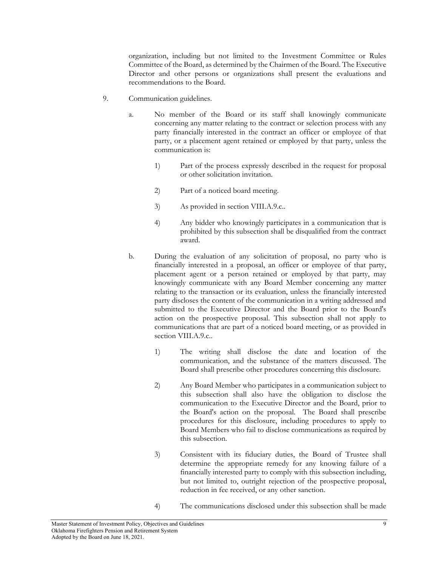organization, including but not limited to the Investment Committee or Rules Committee of the Board, as determined by the Chairmen of the Board. The Executive Director and other persons or organizations shall present the evaluations and recommendations to the Board.

- 9. Communication guidelines.
	- a. No member of the Board or its staff shall knowingly communicate concerning any matter relating to the contract or selection process with any party financially interested in the contract an officer or employee of that party, or a placement agent retained or employed by that party, unless the communication is:
		- 1) Part of the process expressly described in the request for proposal or other solicitation invitation.
		- 2) Part of a noticed board meeting.
		- 3) As provided in section VIII.A.9.c..
		- 4) Any bidder who knowingly participates in a communication that is prohibited by this subsection shall be disqualified from the contract award.
	- b. During the evaluation of any solicitation of proposal, no party who is financially interested in a proposal, an officer or employee of that party, placement agent or a person retained or employed by that party, may knowingly communicate with any Board Member concerning any matter relating to the transaction or its evaluation, unless the financially interested party discloses the content of the communication in a writing addressed and submitted to the Executive Director and the Board prior to the Board's action on the prospective proposal. This subsection shall not apply to communications that are part of a noticed board meeting, or as provided in section VIII.A.9.c..
		- 1) The writing shall disclose the date and location of the communication, and the substance of the matters discussed. The Board shall prescribe other procedures concerning this disclosure.
		- 2) Any Board Member who participates in a communication subject to this subsection shall also have the obligation to disclose the communication to the Executive Director and the Board, prior to the Board's action on the proposal. The Board shall prescribe procedures for this disclosure, including procedures to apply to Board Members who fail to disclose communications as required by this subsection.
		- 3) Consistent with its fiduciary duties, the Board of Trustee shall determine the appropriate remedy for any knowing failure of a financially interested party to comply with this subsection including, but not limited to, outright rejection of the prospective proposal, reduction in fee received, or any other sanction.
		- 4) The communications disclosed under this subsection shall be made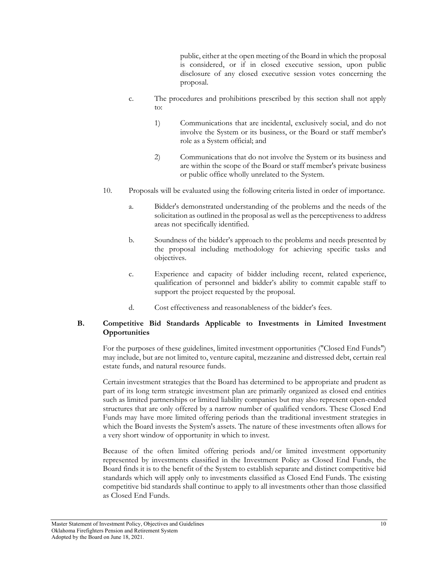public, either at the open meeting of the Board in which the proposal is considered, or if in closed executive session, upon public disclosure of any closed executive session votes concerning the proposal.

- c. The procedures and prohibitions prescribed by this section shall not apply to:
	- 1) Communications that are incidental, exclusively social, and do not involve the System or its business, or the Board or staff member's role as a System official; and
	- 2) Communications that do not involve the System or its business and are within the scope of the Board or staff member's private business or public office wholly unrelated to the System.
- 10. Proposals will be evaluated using the following criteria listed in order of importance.
	- a. Bidder's demonstrated understanding of the problems and the needs of the solicitation as outlined in the proposal as well as the perceptiveness to address areas not specifically identified.
	- b. Soundness of the bidder's approach to the problems and needs presented by the proposal including methodology for achieving specific tasks and objectives.
	- c. Experience and capacity of bidder including recent, related experience, qualification of personnel and bidder's ability to commit capable staff to support the project requested by the proposal.
	- d. Cost effectiveness and reasonableness of the bidder's fees.

## **B. Competitive Bid Standards Applicable to Investments in Limited Investment Opportunities**

For the purposes of these guidelines, limited investment opportunities ("Closed End Funds") may include, but are not limited to, venture capital, mezzanine and distressed debt, certain real estate funds, and natural resource funds.

Certain investment strategies that the Board has determined to be appropriate and prudent as part of its long term strategic investment plan are primarily organized as closed end entities such as limited partnerships or limited liability companies but may also represent open-ended structures that are only offered by a narrow number of qualified vendors. These Closed End Funds may have more limited offering periods than the traditional investment strategies in which the Board invests the System's assets. The nature of these investments often allows for a very short window of opportunity in which to invest.

Because of the often limited offering periods and/or limited investment opportunity represented by investments classified in the Investment Policy as Closed End Funds, the Board finds it is to the benefit of the System to establish separate and distinct competitive bid standards which will apply only to investments classified as Closed End Funds. The existing competitive bid standards shall continue to apply to all investments other than those classified as Closed End Funds.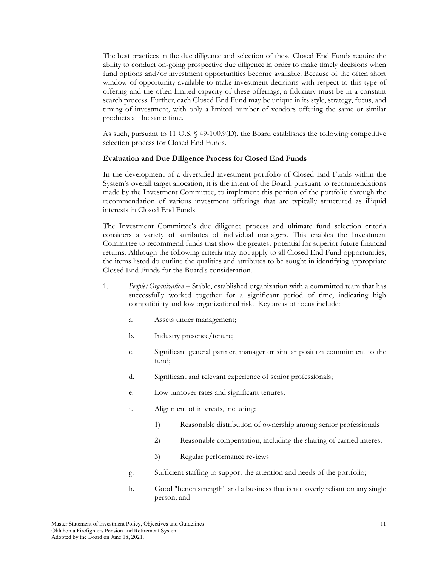The best practices in the due diligence and selection of these Closed End Funds require the ability to conduct on-going prospective due diligence in order to make timely decisions when fund options and/or investment opportunities become available. Because of the often short window of opportunity available to make investment decisions with respect to this type of offering and the often limited capacity of these offerings, a fiduciary must be in a constant search process. Further, each Closed End Fund may be unique in its style, strategy, focus, and timing of investment, with only a limited number of vendors offering the same or similar products at the same time.

As such, pursuant to 11 O.S. § 49-100.9(D), the Board establishes the following competitive selection process for Closed End Funds.

#### **Evaluation and Due Diligence Process for Closed End Funds**

In the development of a diversified investment portfolio of Closed End Funds within the System's overall target allocation, it is the intent of the Board, pursuant to recommendations made by the Investment Committee, to implement this portion of the portfolio through the recommendation of various investment offerings that are typically structured as illiquid interests in Closed End Funds.

The Investment Committee's due diligence process and ultimate fund selection criteria considers a variety of attributes of individual managers. This enables the Investment Committee to recommend funds that show the greatest potential for superior future financial returns. Although the following criteria may not apply to all Closed End Fund opportunities, the items listed do outline the qualities and attributes to be sought in identifying appropriate Closed End Funds for the Board's consideration.

- 1. *People/Organization*  Stable, established organization with a committed team that has successfully worked together for a significant period of time, indicating high compatibility and low organizational risk. Key areas of focus include:
	- a. Assets under management;
	- b. Industry presence/tenure;
	- c. Significant general partner, manager or similar position commitment to the fund;
	- d. Significant and relevant experience of senior professionals;
	- e. Low turnover rates and significant tenures;
	- f. Alignment of interests, including:
		- 1) Reasonable distribution of ownership among senior professionals
		- 2) Reasonable compensation, including the sharing of carried interest
		- 3) Regular performance reviews
	- g. Sufficient staffing to support the attention and needs of the portfolio;
	- h. Good "bench strength" and a business that is not overly reliant on any single person; and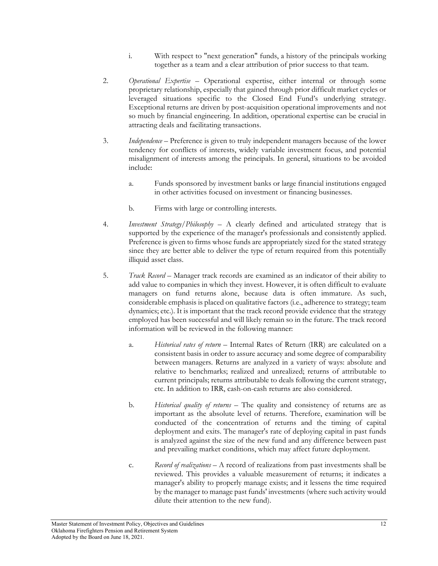- i. With respect to "next generation" funds, a history of the principals working together as a team and a clear attribution of prior success to that team.
- 2. *Operational Expertise*  Operational expertise, either internal or through some proprietary relationship, especially that gained through prior difficult market cycles or leveraged situations specific to the Closed End Fund's underlying strategy. Exceptional returns are driven by post-acquisition operational improvements and not so much by financial engineering. In addition, operational expertise can be crucial in attracting deals and facilitating transactions.
- 3. *Independence*  Preference is given to truly independent managers because of the lower tendency for conflicts of interests, widely variable investment focus, and potential misalignment of interests among the principals. In general, situations to be avoided include:
	- a. Funds sponsored by investment banks or large financial institutions engaged in other activities focused on investment or financing businesses.
	- b. Firms with large or controlling interests.
- 4. *Investment Strategy/Philosophy*  A clearly defined and articulated strategy that is supported by the experience of the manager's professionals and consistently applied. Preference is given to firms whose funds are appropriately sized for the stated strategy since they are better able to deliver the type of return required from this potentially illiquid asset class.
- 5. *Track Record*  Manager track records are examined as an indicator of their ability to add value to companies in which they invest. However, it is often difficult to evaluate managers on fund returns alone, because data is often immature. As such, considerable emphasis is placed on qualitative factors (i.e., adherence to strategy; team dynamics; etc.). It is important that the track record provide evidence that the strategy employed has been successful and will likely remain so in the future. The track record information will be reviewed in the following manner:
	- a. *Historical rates of return* Internal Rates of Return (IRR) are calculated on a consistent basis in order to assure accuracy and some degree of comparability between managers. Returns are analyzed in a variety of ways: absolute and relative to benchmarks; realized and unrealized; returns of attributable to current principals; returns attributable to deals following the current strategy, etc. In addition to IRR, cash-on-cash returns are also considered.
	- b. *Historical quality of returns* The quality and consistency of returns are as important as the absolute level of returns. Therefore, examination will be conducted of the concentration of returns and the timing of capital deployment and exits. The manager's rate of deploying capital in past funds is analyzed against the size of the new fund and any difference between past and prevailing market conditions, which may affect future deployment.
	- c. *Record of realizations* A record of realizations from past investments shall be reviewed. This provides a valuable measurement of returns; it indicates a manager's ability to properly manage exists; and it lessens the time required by the manager to manage past funds' investments (where such activity would dilute their attention to the new fund).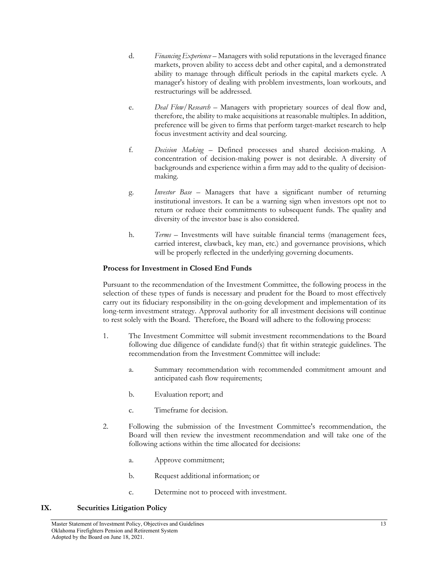- d. *Financing Experience* Managers with solid reputations in the leveraged finance markets, proven ability to access debt and other capital, and a demonstrated ability to manage through difficult periods in the capital markets cycle. A manager's history of dealing with problem investments, loan workouts, and restructurings will be addressed.
- e. *Deal Flow/Research* Managers with proprietary sources of deal flow and, therefore, the ability to make acquisitions at reasonable multiples. In addition, preference will be given to firms that perform target-market research to help focus investment activity and deal sourcing.
- f. *Decision Making* Defined processes and shared decision-making. A concentration of decision-making power is not desirable. A diversity of backgrounds and experience within a firm may add to the quality of decisionmaking.
- g. *Investor Base* Managers that have a significant number of returning institutional investors. It can be a warning sign when investors opt not to return or reduce their commitments to subsequent funds. The quality and diversity of the investor base is also considered.
- h. *Terms* Investments will have suitable financial terms (management fees, carried interest, clawback, key man, etc.) and governance provisions, which will be properly reflected in the underlying governing documents.

#### **Process for Investment in Closed End Funds**

Pursuant to the recommendation of the Investment Committee, the following process in the selection of these types of funds is necessary and prudent for the Board to most effectively carry out its fiduciary responsibility in the on-going development and implementation of its long-term investment strategy. Approval authority for all investment decisions will continue to rest solely with the Board. Therefore, the Board will adhere to the following process:

- 1. The Investment Committee will submit investment recommendations to the Board following due diligence of candidate fund(s) that fit within strategic guidelines. The recommendation from the Investment Committee will include:
	- a. Summary recommendation with recommended commitment amount and anticipated cash flow requirements;
	- b. Evaluation report; and
	- c. Timeframe for decision.
- 2. Following the submission of the Investment Committee's recommendation, the Board will then review the investment recommendation and will take one of the following actions within the time allocated for decisions:
	- a. Approve commitment;
	- b. Request additional information; or
	- c. Determine not to proceed with investment.

#### **IX. Securities Litigation Policy**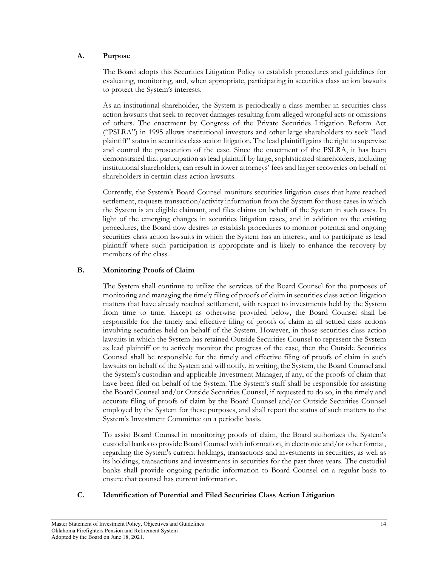## **A. Purpose**

The Board adopts this Securities Litigation Policy to establish procedures and guidelines for evaluating, monitoring, and, when appropriate, participating in securities class action lawsuits to protect the System's interests.

As an institutional shareholder, the System is periodically a class member in securities class action lawsuits that seek to recover damages resulting from alleged wrongful acts or omissions of others. The enactment by Congress of the Private Securities Litigation Reform Act ("PSLRA") in 1995 allows institutional investors and other large shareholders to seek "lead plaintiff" status in securities class action litigation. The lead plaintiff gains the right to supervise and control the prosecution of the case. Since the enactment of the PSLRA, it has been demonstrated that participation as lead plaintiff by large, sophisticated shareholders, including institutional shareholders, can result in lower attorneys' fees and larger recoveries on behalf of shareholders in certain class action lawsuits.

Currently, the System's Board Counsel monitors securities litigation cases that have reached settlement, requests transaction/activity information from the System for those cases in which the System is an eligible claimant, and files claims on behalf of the System in such cases. In light of the emerging changes in securities litigation cases, and in addition to the existing procedures, the Board now desires to establish procedures to monitor potential and ongoing securities class action lawsuits in which the System has an interest, and to participate as lead plaintiff where such participation is appropriate and is likely to enhance the recovery by members of the class.

# **B. Monitoring Proofs of Claim**

The System shall continue to utilize the services of the Board Counsel for the purposes of monitoring and managing the timely filing of proofs of claim in securities class action litigation matters that have already reached settlement, with respect to investments held by the System from time to time. Except as otherwise provided below, the Board Counsel shall be responsible for the timely and effective filing of proofs of claim in all settled class actions involving securities held on behalf of the System. However, in those securities class action lawsuits in which the System has retained Outside Securities Counsel to represent the System as lead plaintiff or to actively monitor the progress of the case, then the Outside Securities Counsel shall be responsible for the timely and effective filing of proofs of claim in such lawsuits on behalf of the System and will notify, in writing, the System, the Board Counsel and the System's custodian and applicable Investment Manager, if any, of the proofs of claim that have been filed on behalf of the System. The System's staff shall be responsible for assisting the Board Counsel and/or Outside Securities Counsel, if requested to do so, in the timely and accurate filing of proofs of claim by the Board Counsel and/or Outside Securities Counsel employed by the System for these purposes, and shall report the status of such matters to the System's Investment Committee on a periodic basis.

To assist Board Counsel in monitoring proofs of claim, the Board authorizes the System's custodial banks to provide Board Counsel with information, in electronic and/or other format, regarding the System's current holdings, transactions and investments in securities, as well as its holdings, transactions and investments in securities for the past three years. The custodial banks shall provide ongoing periodic information to Board Counsel on a regular basis to ensure that counsel has current information.

## **C. Identification of Potential and Filed Securities Class Action Litigation**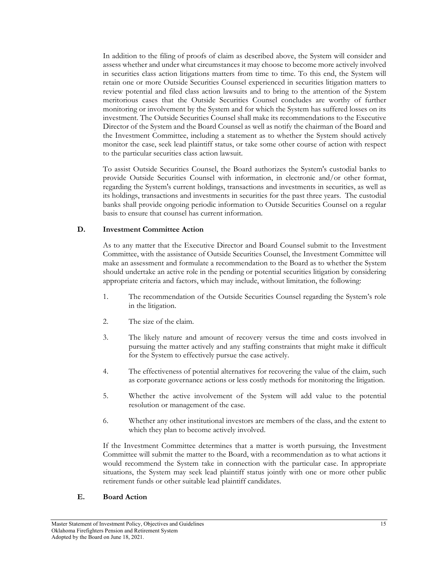In addition to the filing of proofs of claim as described above, the System will consider and assess whether and under what circumstances it may choose to become more actively involved in securities class action litigations matters from time to time. To this end, the System will retain one or more Outside Securities Counsel experienced in securities litigation matters to review potential and filed class action lawsuits and to bring to the attention of the System meritorious cases that the Outside Securities Counsel concludes are worthy of further monitoring or involvement by the System and for which the System has suffered losses on its investment. The Outside Securities Counsel shall make its recommendations to the Executive Director of the System and the Board Counsel as well as notify the chairman of the Board and the Investment Committee, including a statement as to whether the System should actively monitor the case, seek lead plaintiff status, or take some other course of action with respect to the particular securities class action lawsuit.

To assist Outside Securities Counsel, the Board authorizes the System's custodial banks to provide Outside Securities Counsel with information, in electronic and/or other format, regarding the System's current holdings, transactions and investments in securities, as well as its holdings, transactions and investments in securities for the past three years. The custodial banks shall provide ongoing periodic information to Outside Securities Counsel on a regular basis to ensure that counsel has current information.

#### **D. Investment Committee Action**

As to any matter that the Executive Director and Board Counsel submit to the Investment Committee, with the assistance of Outside Securities Counsel, the Investment Committee will make an assessment and formulate a recommendation to the Board as to whether the System should undertake an active role in the pending or potential securities litigation by considering appropriate criteria and factors, which may include, without limitation, the following:

- 1. The recommendation of the Outside Securities Counsel regarding the System's role in the litigation.
- 2. The size of the claim.
- 3. The likely nature and amount of recovery versus the time and costs involved in pursuing the matter actively and any staffing constraints that might make it difficult for the System to effectively pursue the case actively.
- 4. The effectiveness of potential alternatives for recovering the value of the claim, such as corporate governance actions or less costly methods for monitoring the litigation.
- 5. Whether the active involvement of the System will add value to the potential resolution or management of the case.
- 6. Whether any other institutional investors are members of the class, and the extent to which they plan to become actively involved.

If the Investment Committee determines that a matter is worth pursuing, the Investment Committee will submit the matter to the Board, with a recommendation as to what actions it would recommend the System take in connection with the particular case. In appropriate situations, the System may seek lead plaintiff status jointly with one or more other public retirement funds or other suitable lead plaintiff candidates.

#### **E. Board Action**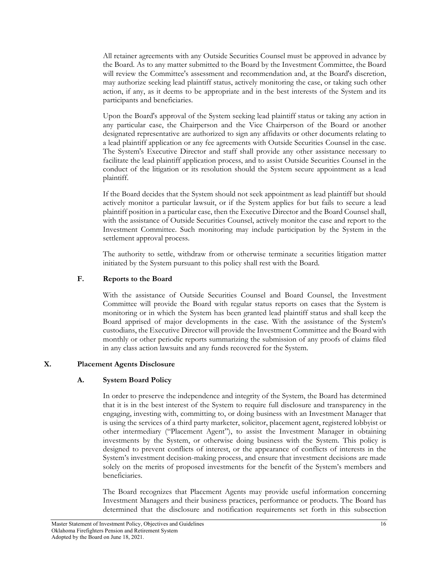All retainer agreements with any Outside Securities Counsel must be approved in advance by the Board. As to any matter submitted to the Board by the Investment Committee, the Board will review the Committee's assessment and recommendation and, at the Board's discretion, may authorize seeking lead plaintiff status, actively monitoring the case, or taking such other action, if any, as it deems to be appropriate and in the best interests of the System and its participants and beneficiaries.

Upon the Board's approval of the System seeking lead plaintiff status or taking any action in any particular case, the Chairperson and the Vice Chairperson of the Board or another designated representative are authorized to sign any affidavits or other documents relating to a lead plaintiff application or any fee agreements with Outside Securities Counsel in the case. The System's Executive Director and staff shall provide any other assistance necessary to facilitate the lead plaintiff application process, and to assist Outside Securities Counsel in the conduct of the litigation or its resolution should the System secure appointment as a lead plaintiff.

If the Board decides that the System should not seek appointment as lead plaintiff but should actively monitor a particular lawsuit, or if the System applies for but fails to secure a lead plaintiff position in a particular case, then the Executive Director and the Board Counsel shall, with the assistance of Outside Securities Counsel, actively monitor the case and report to the Investment Committee. Such monitoring may include participation by the System in the settlement approval process.

The authority to settle, withdraw from or otherwise terminate a securities litigation matter initiated by the System pursuant to this policy shall rest with the Board.

## **F. Reports to the Board**

With the assistance of Outside Securities Counsel and Board Counsel, the Investment Committee will provide the Board with regular status reports on cases that the System is monitoring or in which the System has been granted lead plaintiff status and shall keep the Board apprised of major developments in the case. With the assistance of the System's custodians, the Executive Director will provide the Investment Committee and the Board with monthly or other periodic reports summarizing the submission of any proofs of claims filed in any class action lawsuits and any funds recovered for the System.

#### **X. Placement Agents Disclosure**

# **A. System Board Policy**

In order to preserve the independence and integrity of the System, the Board has determined that it is in the best interest of the System to require full disclosure and transparency in the engaging, investing with, committing to, or doing business with an Investment Manager that is using the services of a third party marketer, solicitor, placement agent, registered lobbyist or other intermediary ("Placement Agent"), to assist the Investment Manager in obtaining investments by the System, or otherwise doing business with the System. This policy is designed to prevent conflicts of interest, or the appearance of conflicts of interests in the System's investment decision-making process, and ensure that investment decisions are made solely on the merits of proposed investments for the benefit of the System's members and beneficiaries.

The Board recognizes that Placement Agents may provide useful information concerning Investment Managers and their business practices, performance or products. The Board has determined that the disclosure and notification requirements set forth in this subsection